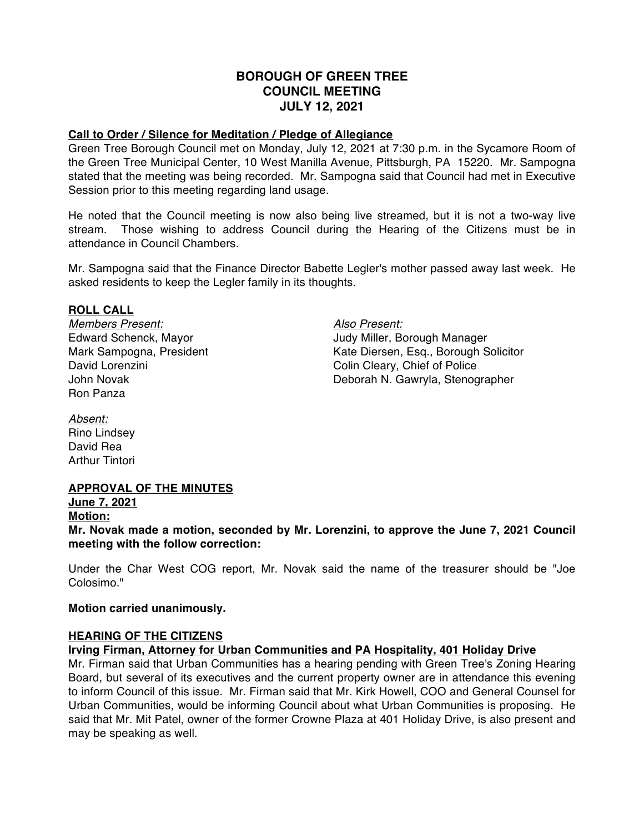# **BOROUGH OF GREEN TREE COUNCIL MEETING JULY 12, 2021**

#### **Call to Order / Silence for Meditation / Pledge of Allegiance**

Green Tree Borough Council met on Monday, July 12, 2021 at 7:30 p.m. in the Sycamore Room of the Green Tree Municipal Center, 10 West Manilla Avenue, Pittsburgh, PA 15220. Mr. Sampogna stated that the meeting was being recorded. Mr. Sampogna said that Council had met in Executive Session prior to this meeting regarding land usage.

He noted that the Council meeting is now also being live streamed, but it is not a two-way live stream. Those wishing to address Council during the Hearing of the Citizens must be in attendance in Council Chambers.

Mr. Sampogna said that the Finance Director Babette Legler's mother passed away last week. He asked residents to keep the Legler family in its thoughts.

#### **ROLL CALL**

*Members Present: Also Present:* Ron Panza

Edward Schenck, Mayor Judy Miller, Borough Manager Mark Sampogna, President Kate Diersen, Esq., Borough Solicitor David Lorenzini Colin Cleary, Chief of Police John Novak Deborah N. Gawryla, Stenographer

*Absent:* Rino Lindsey David Rea Arthur Tintori

# **APPROVAL OF THE MINUTES**

**June 7, 2021 Motion:**

**Mr. Novak made a motion, seconded by Mr. Lorenzini, to approve the June 7, 2021 Council meeting with the follow correction:**

Under the Char West COG report, Mr. Novak said the name of the treasurer should be "Joe Colosimo."

## **Motion carried unanimously.**

## **HEARING OF THE CITIZENS**

## **Irving Firman, Attorney for Urban Communities and PA Hospitality, 401 Holiday Drive**

Mr. Firman said that Urban Communities has a hearing pending with Green Tree's Zoning Hearing Board, but several of its executives and the current property owner are in attendance this evening to inform Council of this issue. Mr. Firman said that Mr. Kirk Howell, COO and General Counsel for Urban Communities, would be informing Council about what Urban Communities is proposing. He said that Mr. Mit Patel, owner of the former Crowne Plaza at 401 Holiday Drive, is also present and may be speaking as well.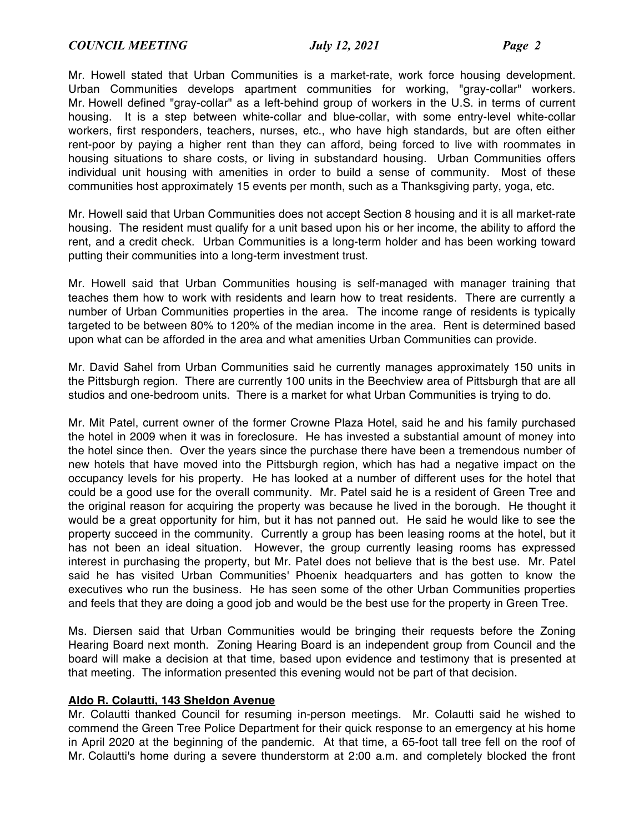Mr. Howell stated that Urban Communities is a market-rate, work force housing development. Urban Communities develops apartment communities for working, "gray-collar" workers. Mr. Howell defined "gray-collar" as a left-behind group of workers in the U.S. in terms of current housing. It is a step between white-collar and blue-collar, with some entry-level white-collar workers, first responders, teachers, nurses, etc., who have high standards, but are often either rent-poor by paying a higher rent than they can afford, being forced to live with roommates in housing situations to share costs, or living in substandard housing. Urban Communities offers individual unit housing with amenities in order to build a sense of community. Most of these communities host approximately 15 events per month, such as a Thanksgiving party, yoga, etc.

Mr. Howell said that Urban Communities does not accept Section 8 housing and it is all market-rate housing. The resident must qualify for a unit based upon his or her income, the ability to afford the rent, and a credit check. Urban Communities is a long-term holder and has been working toward putting their communities into a long-term investment trust.

Mr. Howell said that Urban Communities housing is self-managed with manager training that teaches them how to work with residents and learn how to treat residents. There are currently a number of Urban Communities properties in the area. The income range of residents is typically targeted to be between 80% to 120% of the median income in the area. Rent is determined based upon what can be afforded in the area and what amenities Urban Communities can provide.

Mr. David Sahel from Urban Communities said he currently manages approximately 150 units in the Pittsburgh region. There are currently 100 units in the Beechview area of Pittsburgh that are all studios and one-bedroom units. There is a market for what Urban Communities is trying to do.

Mr. Mit Patel, current owner of the former Crowne Plaza Hotel, said he and his family purchased the hotel in 2009 when it was in foreclosure. He has invested a substantial amount of money into the hotel since then. Over the years since the purchase there have been a tremendous number of new hotels that have moved into the Pittsburgh region, which has had a negative impact on the occupancy levels for his property. He has looked at a number of different uses for the hotel that could be a good use for the overall community. Mr. Patel said he is a resident of Green Tree and the original reason for acquiring the property was because he lived in the borough. He thought it would be a great opportunity for him, but it has not panned out. He said he would like to see the property succeed in the community. Currently a group has been leasing rooms at the hotel, but it has not been an ideal situation. However, the group currently leasing rooms has expressed interest in purchasing the property, but Mr. Patel does not believe that is the best use. Mr. Patel said he has visited Urban Communities' Phoenix headquarters and has gotten to know the executives who run the business. He has seen some of the other Urban Communities properties and feels that they are doing a good job and would be the best use for the property in Green Tree.

Ms. Diersen said that Urban Communities would be bringing their requests before the Zoning Hearing Board next month. Zoning Hearing Board is an independent group from Council and the board will make a decision at that time, based upon evidence and testimony that is presented at that meeting. The information presented this evening would not be part of that decision.

#### **Aldo R. Colautti, 143 Sheldon Avenue**

Mr. Colautti thanked Council for resuming in-person meetings. Mr. Colautti said he wished to commend the Green Tree Police Department for their quick response to an emergency at his home in April 2020 at the beginning of the pandemic. At that time, a 65-foot tall tree fell on the roof of Mr. Colautti's home during a severe thunderstorm at 2:00 a.m. and completely blocked the front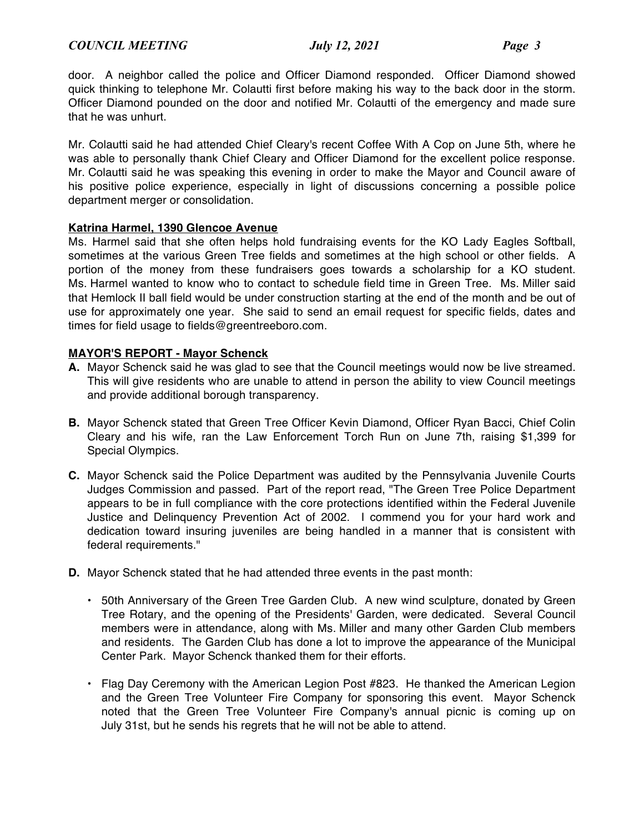door. A neighbor called the police and Officer Diamond responded. Officer Diamond showed quick thinking to telephone Mr. Colautti first before making his way to the back door in the storm. Officer Diamond pounded on the door and notified Mr. Colautti of the emergency and made sure that he was unhurt.

Mr. Colautti said he had attended Chief Cleary's recent Coffee With A Cop on June 5th, where he was able to personally thank Chief Cleary and Officer Diamond for the excellent police response. Mr. Colautti said he was speaking this evening in order to make the Mayor and Council aware of his positive police experience, especially in light of discussions concerning a possible police department merger or consolidation.

## **Katrina Harmel, 1390 Glencoe Avenue**

Ms. Harmel said that she often helps hold fundraising events for the KO Lady Eagles Softball, sometimes at the various Green Tree fields and sometimes at the high school or other fields. A portion of the money from these fundraisers goes towards a scholarship for a KO student. Ms. Harmel wanted to know who to contact to schedule field time in Green Tree. Ms. Miller said that Hemlock II ball field would be under construction starting at the end of the month and be out of use for approximately one year. She said to send an email request for specific fields, dates and times for field usage to fields@greentreeboro.com.

#### **MAYOR'S REPORT - Mayor Schenck**

- **A.** Mayor Schenck said he was glad to see that the Council meetings would now be live streamed. This will give residents who are unable to attend in person the ability to view Council meetings and provide additional borough transparency.
- **B.** Mayor Schenck stated that Green Tree Officer Kevin Diamond, Officer Ryan Bacci, Chief Colin Cleary and his wife, ran the Law Enforcement Torch Run on June 7th, raising \$1,399 for Special Olympics.
- **C.** Mayor Schenck said the Police Department was audited by the Pennsylvania Juvenile Courts Judges Commission and passed. Part of the report read, "The Green Tree Police Department appears to be in full compliance with the core protections identified within the Federal Juvenile Justice and Delinquency Prevention Act of 2002. I commend you for your hard work and dedication toward insuring juveniles are being handled in a manner that is consistent with federal requirements."
- **D.** Mayor Schenck stated that he had attended three events in the past month:
	- 50th Anniversary of the Green Tree Garden Club. A new wind sculpture, donated by Green Tree Rotary, and the opening of the Presidents' Garden, were dedicated. Several Council members were in attendance, along with Ms. Miller and many other Garden Club members and residents. The Garden Club has done a lot to improve the appearance of the Municipal Center Park. Mayor Schenck thanked them for their efforts.
	- Flag Day Ceremony with the American Legion Post #823. He thanked the American Legion and the Green Tree Volunteer Fire Company for sponsoring this event. Mayor Schenck noted that the Green Tree Volunteer Fire Company's annual picnic is coming up on July 31st, but he sends his regrets that he will not be able to attend.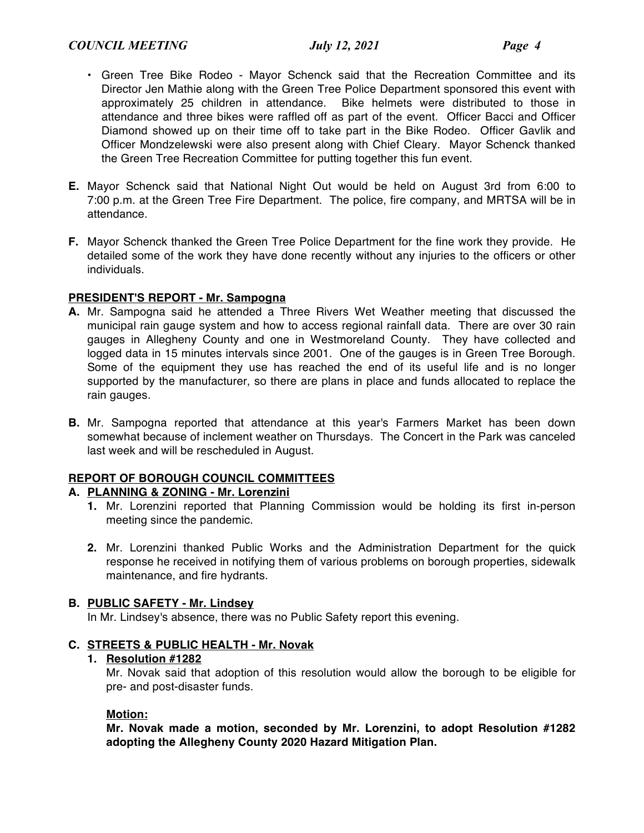- Green Tree Bike Rodeo Mayor Schenck said that the Recreation Committee and its Director Jen Mathie along with the Green Tree Police Department sponsored this event with approximately 25 children in attendance. Bike helmets were distributed to those in attendance and three bikes were raffled off as part of the event. Officer Bacci and Officer Diamond showed up on their time off to take part in the Bike Rodeo. Officer Gavlik and Officer Mondzelewski were also present along with Chief Cleary. Mayor Schenck thanked the Green Tree Recreation Committee for putting together this fun event.
- **E.** Mayor Schenck said that National Night Out would be held on August 3rd from 6:00 to 7:00 p.m. at the Green Tree Fire Department. The police, fire company, and MRTSA will be in attendance.
- **F.** Mayor Schenck thanked the Green Tree Police Department for the fine work they provide. He detailed some of the work they have done recently without any injuries to the officers or other individuals.

# **PRESIDENT'S REPORT - Mr. Sampogna**

- **A.** Mr. Sampogna said he attended a Three Rivers Wet Weather meeting that discussed the municipal rain gauge system and how to access regional rainfall data. There are over 30 rain gauges in Allegheny County and one in Westmoreland County. They have collected and logged data in 15 minutes intervals since 2001. One of the gauges is in Green Tree Borough. Some of the equipment they use has reached the end of its useful life and is no longer supported by the manufacturer, so there are plans in place and funds allocated to replace the rain gauges.
- **B.** Mr. Sampogna reported that attendance at this year's Farmers Market has been down somewhat because of inclement weather on Thursdays. The Concert in the Park was canceled last week and will be rescheduled in August.

## **REPORT OF BOROUGH COUNCIL COMMITTEES**

## **A. PLANNING & ZONING - Mr. Lorenzini**

- **1.** Mr. Lorenzini reported that Planning Commission would be holding its first in-person meeting since the pandemic.
- **2.** Mr. Lorenzini thanked Public Works and the Administration Department for the quick response he received in notifying them of various problems on borough properties, sidewalk maintenance, and fire hydrants.

## **B. PUBLIC SAFETY - Mr. Lindsey**

In Mr. Lindsey's absence, there was no Public Safety report this evening.

# **C. STREETS & PUBLIC HEALTH - Mr. Novak**

## **1. Resolution #1282**

Mr. Novak said that adoption of this resolution would allow the borough to be eligible for pre- and post-disaster funds.

## **Motion:**

**Mr. Novak made a motion, seconded by Mr. Lorenzini, to adopt Resolution #1282 adopting the Allegheny County 2020 Hazard Mitigation Plan.**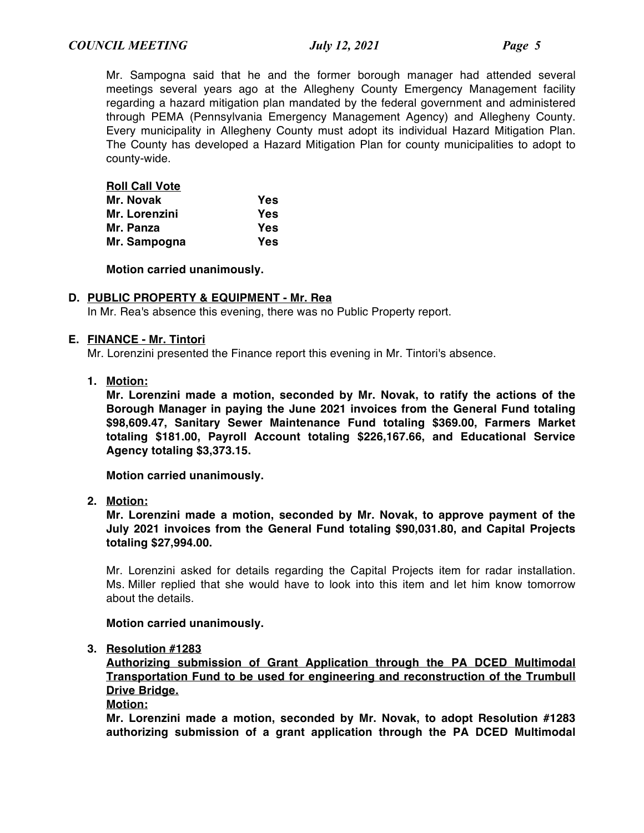Mr. Sampogna said that he and the former borough manager had attended several meetings several years ago at the Allegheny County Emergency Management facility regarding a hazard mitigation plan mandated by the federal government and administered through PEMA (Pennsylvania Emergency Management Agency) and Allegheny County. Every municipality in Allegheny County must adopt its individual Hazard Mitigation Plan. The County has developed a Hazard Mitigation Plan for county municipalities to adopt to county-wide.

|     |  | <b>Roll Call Vote</b> |  |
|-----|--|-----------------------|--|
| - - |  |                       |  |

| Mr. Novak     | Yes |
|---------------|-----|
| Mr. Lorenzini | Yes |
| Mr. Panza     | Yes |
| Mr. Sampogna  | Yes |

**Motion carried unanimously.**

## **D. PUBLIC PROPERTY & EQUIPMENT - Mr. Rea**

In Mr. Rea's absence this evening, there was no Public Property report.

#### **E. FINANCE - Mr. Tintori**

Mr. Lorenzini presented the Finance report this evening in Mr. Tintori's absence.

**1. Motion:**

**Mr. Lorenzini made a motion, seconded by Mr. Novak, to ratify the actions of the Borough Manager in paying the June 2021 invoices from the General Fund totaling \$98,609.47, Sanitary Sewer Maintenance Fund totaling \$369.00, Farmers Market totaling \$181.00, Payroll Account totaling \$226,167.66, and Educational Service Agency totaling \$3,373.15.**

**Motion carried unanimously.**

**2. Motion:**

**Mr. Lorenzini made a motion, seconded by Mr. Novak, to approve payment of the July 2021 invoices from the General Fund totaling \$90,031.80, and Capital Projects totaling \$27,994.00.**

Mr. Lorenzini asked for details regarding the Capital Projects item for radar installation. Ms. Miller replied that she would have to look into this item and let him know tomorrow about the details.

#### **Motion carried unanimously.**

#### **3. Resolution #1283**

**Authorizing submission of Grant Application through the PA DCED Multimodal Transportation Fund to be used for engineering and reconstruction of the Trumbull Drive Bridge.**

#### **Motion:**

**Mr. Lorenzini made a motion, seconded by Mr. Novak, to adopt Resolution #1283 authorizing submission of a grant application through the PA DCED Multimodal**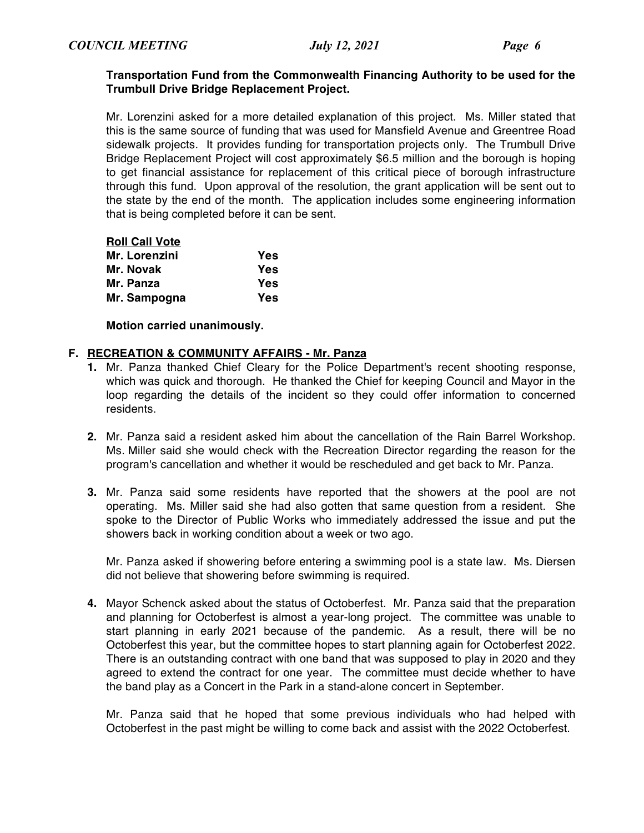#### **Transportation Fund from the Commonwealth Financing Authority to be used for the Trumbull Drive Bridge Replacement Project.**

Mr. Lorenzini asked for a more detailed explanation of this project. Ms. Miller stated that this is the same source of funding that was used for Mansfield Avenue and Greentree Road sidewalk projects. It provides funding for transportation projects only. The Trumbull Drive Bridge Replacement Project will cost approximately \$6.5 million and the borough is hoping to get financial assistance for replacement of this critical piece of borough infrastructure through this fund. Upon approval of the resolution, the grant application will be sent out to the state by the end of the month. The application includes some engineering information that is being completed before it can be sent.

| <b>Roll Call Vote</b> |     |
|-----------------------|-----|
| Mr. Lorenzini         | Yes |
| Mr. Novak             | Yes |
| Mr. Panza             | Yes |
| Mr. Sampogna          | Yes |

**Motion carried unanimously.**

#### **F. RECREATION & COMMUNITY AFFAIRS - Mr. Panza**

- **1.** Mr. Panza thanked Chief Cleary for the Police Department's recent shooting response, which was quick and thorough. He thanked the Chief for keeping Council and Mayor in the loop regarding the details of the incident so they could offer information to concerned residents.
- **2.** Mr. Panza said a resident asked him about the cancellation of the Rain Barrel Workshop. Ms. Miller said she would check with the Recreation Director regarding the reason for the program's cancellation and whether it would be rescheduled and get back to Mr. Panza.
- **3.** Mr. Panza said some residents have reported that the showers at the pool are not operating. Ms. Miller said she had also gotten that same question from a resident. She spoke to the Director of Public Works who immediately addressed the issue and put the showers back in working condition about a week or two ago.

Mr. Panza asked if showering before entering a swimming pool is a state law. Ms. Diersen did not believe that showering before swimming is required.

**4.** Mayor Schenck asked about the status of Octoberfest. Mr. Panza said that the preparation and planning for Octoberfest is almost a year-long project. The committee was unable to start planning in early 2021 because of the pandemic. As a result, there will be no Octoberfest this year, but the committee hopes to start planning again for Octoberfest 2022. There is an outstanding contract with one band that was supposed to play in 2020 and they agreed to extend the contract for one year. The committee must decide whether to have the band play as a Concert in the Park in a stand-alone concert in September.

Mr. Panza said that he hoped that some previous individuals who had helped with Octoberfest in the past might be willing to come back and assist with the 2022 Octoberfest.